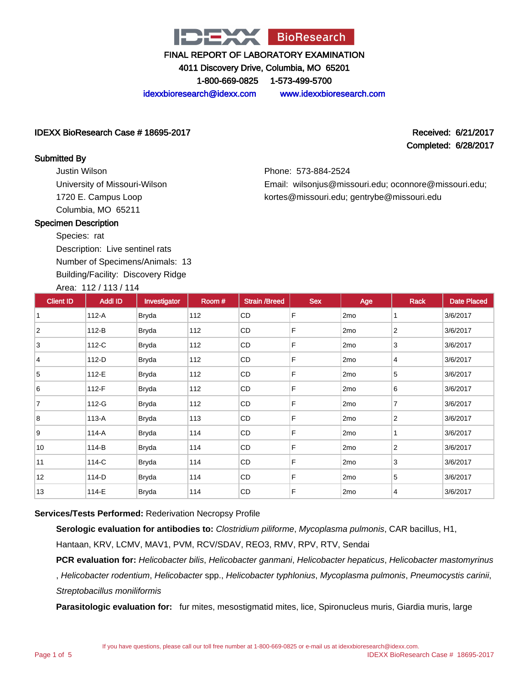

4011 Discovery Drive, Columbia, MO 65201

1-800-669-0825 1-573-499-5700

idexxbioresearch@idexx.com www.idexxbioresearch.com

Phone: 573-884-2524

### IDEXX BioResearch Case # 18695-2017 Received: 6/21/2017

Completed: 6/28/2017

#### Submitted By

Justin Wilson University of Missouri-Wilson 1720 E. Campus Loop Columbia, MO 65211

### Email: wilsonjus@missouri.edu; oconnore@missouri.edu; kortes@missouri.edu; gentrybe@missouri.edu

#### Specimen Description

Species: rat Description: Live sentinel rats Number of Specimens/Animals: 13 Building/Facility: Discovery Ridge

| Area: 112 / 113 / 114 |  |
|-----------------------|--|
|                       |  |

| <b>Client ID</b> | <b>Addl ID</b> | Investigator | Room # | <b>Strain /Breed</b> | <b>Sex</b> | Age             | <b>Rack</b>    | <b>Date Placed</b> |
|------------------|----------------|--------------|--------|----------------------|------------|-----------------|----------------|--------------------|
|                  | 112-A          | <b>Bryda</b> | 112    | CD                   | F          | 2 <sub>mo</sub> | 1              | 3/6/2017           |
| 2                | 112-B          | <b>Bryda</b> | 112    | CD                   | F          | 2 <sub>mo</sub> | 2              | 3/6/2017           |
| 3                | 112-C          | <b>Bryda</b> | 112    | <b>CD</b>            | F          | 2 <sub>mo</sub> | 3              | 3/6/2017           |
| 4                | 112-D          | <b>Bryda</b> | 112    | <b>CD</b>            | F          | 2 <sub>mo</sub> | 4              | 3/6/2017           |
| 5                | 112-E          | <b>Bryda</b> | 112    | CD                   | F          | 2 <sub>mo</sub> | 5              | 3/6/2017           |
| 6                | 112-F          | <b>Bryda</b> | 112    | CD                   | F          | 2 <sub>mo</sub> | 6              | 3/6/2017           |
| 7                | 112-G          | <b>Bryda</b> | 112    | <b>CD</b>            | F          | 2 <sub>mo</sub> | 7              | 3/6/2017           |
| 8                | 113-A          | <b>Bryda</b> | 113    | CD                   | F          | 2 <sub>mo</sub> | $\overline{2}$ | 3/6/2017           |
| 9                | 114-A          | <b>Bryda</b> | 114    | CD                   | F          | 2 <sub>mo</sub> | 1              | 3/6/2017           |
| 10               | 114-B          | <b>Bryda</b> | 114    | <b>CD</b>            | F          | 2 <sub>mo</sub> | $\overline{2}$ | 3/6/2017           |
| 11               | 114-C          | <b>Bryda</b> | 114    | CD                   | F          | 2 <sub>mo</sub> | 3              | 3/6/2017           |
| 12               | 114-D          | <b>Bryda</b> | 114    | CD                   | F          | 2 <sub>mo</sub> | 5              | 3/6/2017           |
| 13               | 114-E          | Bryda        | 114    | CD                   | F          | 2 <sub>mo</sub> | 4              | 3/6/2017           |

### **Services/Tests Performed:** Rederivation Necropsy Profile

**Serologic evaluation for antibodies to:** Clostridium piliforme, Mycoplasma pulmonis, CAR bacillus, H1,

Hantaan, KRV, LCMV, MAV1, PVM, RCV/SDAV, REO3, RMV, RPV, RTV, Sendai

**PCR evaluation for:** Helicobacter bilis, Helicobacter ganmani, Helicobacter hepaticus, Helicobacter mastomyrinus , Helicobacter rodentium, Helicobacter spp., Helicobacter typhlonius, Mycoplasma pulmonis, Pneumocystis carinii, Streptobacillus moniliformis

**Parasitologic evaluation for:** fur mites, mesostigmatid mites, lice, Spironucleus muris, Giardia muris, large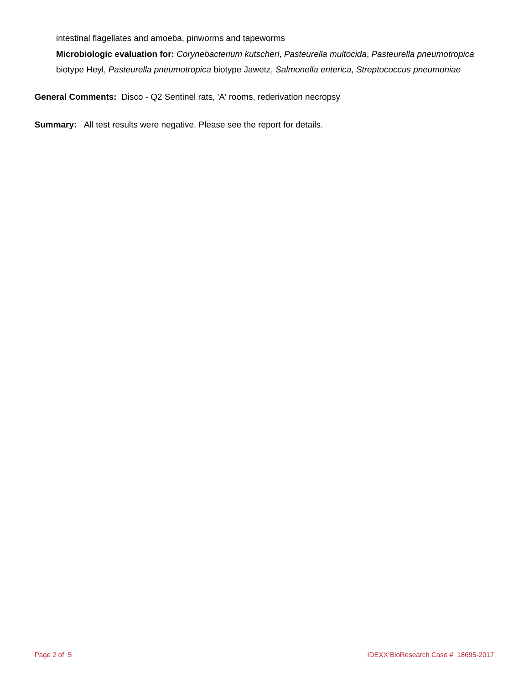intestinal flagellates and amoeba, pinworms and tapeworms

**Microbiologic evaluation for:** Corynebacterium kutscheri, Pasteurella multocida, Pasteurella pneumotropica biotype Heyl, Pasteurella pneumotropica biotype Jawetz, Salmonella enterica, Streptococcus pneumoniae

**General Comments:** Disco - Q2 Sentinel rats, 'A' rooms, rederivation necropsy

**Summary:** All test results were negative. Please see the report for details.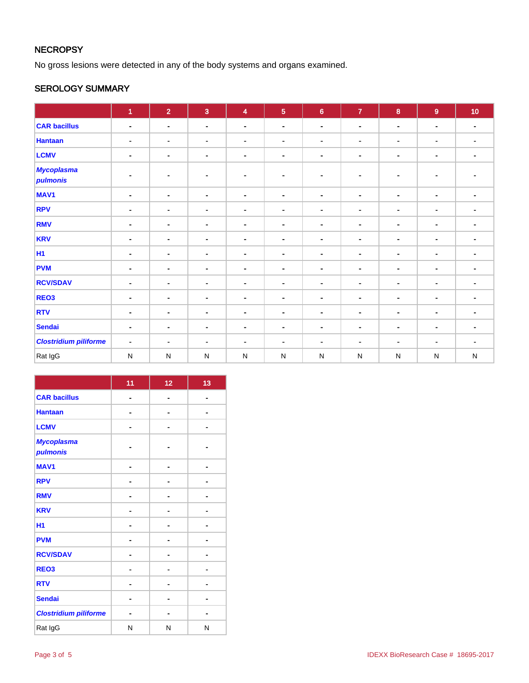### **NECROPSY**

No gross lesions were detected in any of the body systems and organs examined.

### SEROLOGY SUMMARY

|                               | 1              | $\overline{2}$ | $\overline{3}$ | $\overline{\mathbf{4}}$ | $\overline{5}$ | $\bf{6}$                 | $\overline{7}$ | 8              | $\overline{9}$ | 10             |
|-------------------------------|----------------|----------------|----------------|-------------------------|----------------|--------------------------|----------------|----------------|----------------|----------------|
| <b>CAR bacillus</b>           | $\blacksquare$ | $\blacksquare$ | $\blacksquare$ | $\blacksquare$          | $\blacksquare$ | $\sim$                   | $\blacksquare$ | $\blacksquare$ | $\blacksquare$ | $\blacksquare$ |
| <b>Hantaan</b>                | $\blacksquare$ | $\blacksquare$ | $\blacksquare$ | $\blacksquare$          | $\blacksquare$ | $\blacksquare$           | $\blacksquare$ | $\blacksquare$ | $\blacksquare$ | $\blacksquare$ |
| <b>LCMV</b>                   | $\blacksquare$ | $\blacksquare$ | $\blacksquare$ | $\blacksquare$          |                | $\blacksquare$           | $\blacksquare$ | $\blacksquare$ | $\blacksquare$ | $\blacksquare$ |
| <b>Mycoplasma</b><br>pulmonis | $\blacksquare$ | $\blacksquare$ | $\blacksquare$ | $\sim$                  | ۰              | $\blacksquare$           | $\blacksquare$ | $\blacksquare$ | $\blacksquare$ |                |
| MAV1                          | $\blacksquare$ | $\blacksquare$ | $\blacksquare$ | $\blacksquare$          | $\blacksquare$ | $\blacksquare$           | $\blacksquare$ | $\blacksquare$ | $\blacksquare$ | $\blacksquare$ |
| <b>RPV</b>                    | $\blacksquare$ | $\blacksquare$ | $\blacksquare$ | $\blacksquare$          | ٠              | $\blacksquare$           | $\blacksquare$ | $\blacksquare$ | $\blacksquare$ | $\blacksquare$ |
| <b>RMV</b>                    | $\blacksquare$ | $\blacksquare$ | $\blacksquare$ | $\blacksquare$          | ٠              | $\blacksquare$           | ٠              | $\blacksquare$ | $\blacksquare$ | $\blacksquare$ |
| <b>KRV</b>                    | $\blacksquare$ | ٠              | $\blacksquare$ | $\blacksquare$          | $\blacksquare$ | $\blacksquare$           | $\blacksquare$ | $\blacksquare$ | $\blacksquare$ | $\blacksquare$ |
| <b>H1</b>                     | $\blacksquare$ | $\blacksquare$ | $\blacksquare$ | $\blacksquare$          | ۰              | $\blacksquare$           | $\blacksquare$ | $\blacksquare$ | $\blacksquare$ | $\blacksquare$ |
| <b>PVM</b>                    | $\blacksquare$ | $\blacksquare$ | $\blacksquare$ | $\blacksquare$          | $\blacksquare$ | $\blacksquare$           | $\blacksquare$ | $\blacksquare$ | $\blacksquare$ | $\blacksquare$ |
| <b>RCV/SDAV</b>               | $\blacksquare$ | $\blacksquare$ | $\blacksquare$ | $\blacksquare$          | $\blacksquare$ | $\blacksquare$           | $\blacksquare$ | $\blacksquare$ | $\blacksquare$ | $\blacksquare$ |
| REO <sub>3</sub>              | $\blacksquare$ | $\blacksquare$ | $\blacksquare$ | $\blacksquare$          |                | $\blacksquare$           | $\blacksquare$ | $\blacksquare$ | $\blacksquare$ | $\blacksquare$ |
| <b>RTV</b>                    | $\blacksquare$ | $\blacksquare$ | $\blacksquare$ | $\blacksquare$          | $\blacksquare$ | $\blacksquare$           | $\blacksquare$ | $\blacksquare$ | $\blacksquare$ | $\blacksquare$ |
| <b>Sendai</b>                 | $\blacksquare$ | ٠              | $\blacksquare$ | $\blacksquare$          | ۰              | $\overline{\phantom{a}}$ | $\blacksquare$ | $\blacksquare$ | $\blacksquare$ | ٠              |
| <b>Clostridium piliforme</b>  | $\blacksquare$ | $\blacksquare$ | $\blacksquare$ | $\blacksquare$          | ۰              | $\blacksquare$           | $\blacksquare$ | $\blacksquare$ | $\blacksquare$ | $\blacksquare$ |
| Rat IgG                       | $\mathsf{N}$   | ${\sf N}$      | $\mathsf{N}$   | N                       | $\mathsf{N}$   | ${\sf N}$                | ${\sf N}$      | ${\sf N}$      | ${\sf N}$      | ${\sf N}$      |

|                               | 11             | 12 | 13 |
|-------------------------------|----------------|----|----|
| <b>CAR bacillus</b>           | $\blacksquare$ |    |    |
| <b>Hantaan</b>                |                |    |    |
| <b>LCMV</b>                   |                |    |    |
| <b>Mycoplasma</b><br>pulmonis |                |    |    |
| <b>MAV1</b>                   | -              |    | ۰  |
| <b>RPV</b>                    |                |    |    |
| <b>RMV</b>                    |                |    |    |
| <b>KRV</b>                    |                |    |    |
| H1                            |                |    |    |
| <b>PVM</b>                    |                |    |    |
| <b>RCV/SDAV</b>               |                |    |    |
| REO <sub>3</sub>              |                |    |    |
| <b>RTV</b>                    |                |    |    |
| <b>Sendai</b>                 |                | -  | ۰  |
| <b>Clostridium piliforme</b>  |                |    |    |
| Rat IgG                       | N              | N  | N  |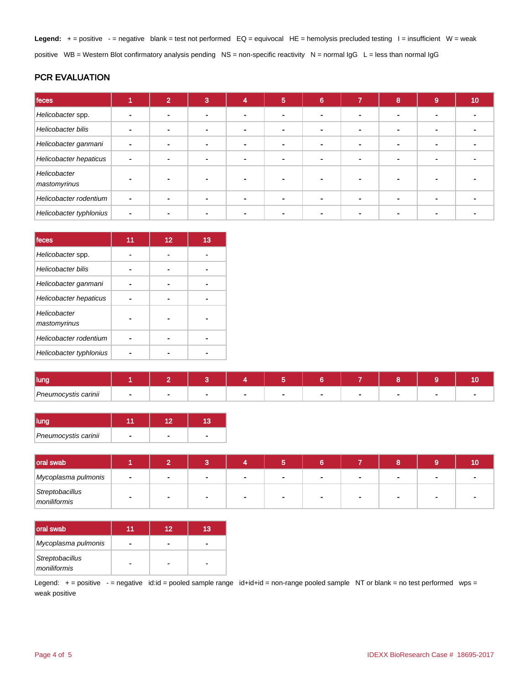Legend: + = positive - = negative blank = test not performed EQ = equivocal HE = hemolysis precluded testing l = insufficient W = weak positive WB = Western Blot confirmatory analysis pending NS = non-specific reactivity N = normal IgG L = less than normal IgG

### PCR EVALUATION

| feces                        |                          | 2 | 3 | 4 | $\overline{5}$           | 6                        | $\overline{7}$ | 8 | 9              | 10 |
|------------------------------|--------------------------|---|---|---|--------------------------|--------------------------|----------------|---|----------------|----|
| Helicobacter spp.            |                          |   |   |   | $\overline{\phantom{a}}$ |                          |                |   |                |    |
| Helicobacter bilis           | $\overline{\phantom{0}}$ |   |   |   | $\overline{\phantom{a}}$ |                          |                |   | -              |    |
| Helicobacter ganmani         | $\blacksquare$           |   |   |   |                          | $\overline{\phantom{0}}$ |                |   | $\blacksquare$ |    |
| Helicobacter hepaticus       | $\blacksquare$           |   |   |   | $\blacksquare$           |                          |                |   |                |    |
| Helicobacter<br>mastomyrinus |                          |   |   |   |                          |                          |                |   |                |    |
| Helicobacter rodentium       | $\blacksquare$           |   |   |   |                          |                          |                |   |                |    |
| Helicobacter typhlonius      | $\blacksquare$           |   |   |   | $\blacksquare$           |                          |                |   |                |    |

| <b>Ifeces</b>                | 11 | 12 | 13 |
|------------------------------|----|----|----|
| Helicobacter spp.            |    |    |    |
| Helicobacter bilis           |    |    |    |
| Helicobacter ganmani         |    |    |    |
| Helicobacter hepaticus       |    |    |    |
| Helicobacter<br>mastomyrinus |    |    |    |
| Helicobacter rodentium       |    |    |    |
| Helicobacter typhlonius      |    |    |    |

| lung                 |  |  |  |  |  |
|----------------------|--|--|--|--|--|
| Pneumocystis carinii |  |  |  |  |  |

| lung                 |  |  |
|----------------------|--|--|
| Pneumocystis carinii |  |  |

| oral swab                       |                |  |     |                          |     |  | 10 |
|---------------------------------|----------------|--|-----|--------------------------|-----|--|----|
| Mycoplasma pulmonis             | $\blacksquare$ |  | . . | $\blacksquare$           |     |  |    |
| Streptobacillus<br>moniliformis |                |  |     | $\overline{\phantom{a}}$ | . . |  |    |

| <b>oral swab</b>                | 12 | 13 |
|---------------------------------|----|----|
| Mycoplasma pulmonis             |    |    |
| Streptobacillus<br>moniliformis |    |    |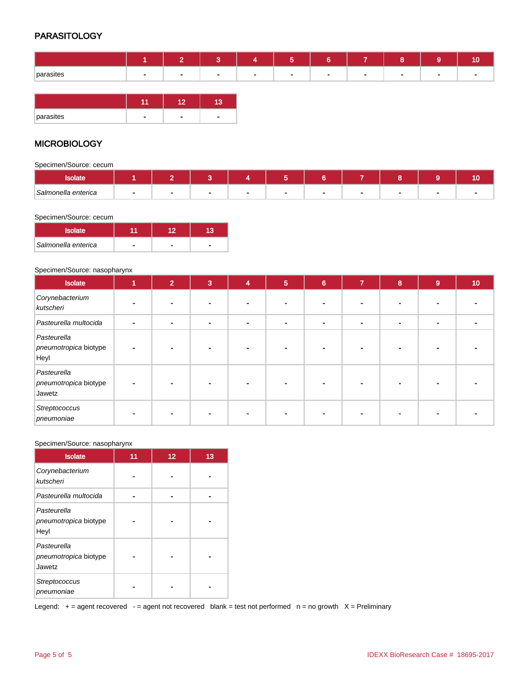### **PARASITOLOGY**

|           | <b>Contract</b> | $\sim$         |        | ∽<br>∽ | $\sim$ | $\sim$      |        |        |
|-----------|-----------------|----------------|--------|--------|--------|-------------|--------|--------|
| parasites | $\sim$          | $\blacksquare$ | $\sim$ |        | $\sim$ | <b>1999</b> | $\sim$ | $\sim$ |

| parasites | ٠ |  |
|-----------|---|--|

### **MICROBIOLOGY**

Specimen/Source: cecum

| ουιαιτ              |  |  |     |  |  |
|---------------------|--|--|-----|--|--|
| Salmonella enterica |  |  | . . |  |  |

#### Specimen/Source: cecum

| <b>Isolate</b>      |   |  |
|---------------------|---|--|
| Salmonella enterica | - |  |

#### Specimen/Source: nasopharynx

| Isolate                                        | 1 | $\overline{2}$ | $\overline{3}$ | $\overline{\bf{4}}$ | 5 | $6\phantom{a}$ | $\overline{7}$ | 8                        | 9              | 10 |
|------------------------------------------------|---|----------------|----------------|---------------------|---|----------------|----------------|--------------------------|----------------|----|
| Corynebacterium<br>kutscheri                   |   |                |                |                     |   |                |                |                          |                |    |
| Pasteurella multocida                          |   |                | $\blacksquare$ | $\blacksquare$      |   | $\blacksquare$ | $\blacksquare$ | $\overline{\phantom{0}}$ | $\blacksquare$ |    |
| Pasteurella<br>pneumotropica biotype<br>Heyl   |   |                |                |                     |   |                |                |                          |                |    |
| Pasteurella<br>pneumotropica biotype<br>Jawetz |   |                |                |                     |   |                |                |                          |                |    |
| Streptococcus<br>pneumoniae                    |   |                |                |                     |   |                |                |                          |                |    |

#### Specimen/Source: nasopharynx

| <b>Isolate</b>                                 | 11 | 12 | 13 |
|------------------------------------------------|----|----|----|
| Corynebacterium<br>kutscheri                   |    |    |    |
| Pasteurella multocida                          |    |    |    |
| Pasteurella<br>pneumotropica biotype<br>Heyl   |    |    |    |
| Pasteurella<br>pneumotropica biotype<br>Jawetz |    |    |    |
| Streptococcus<br>pneumoniae                    |    |    |    |

Legend:  $+$  = agent recovered - = agent not recovered blank = test not performed  $n$  = no growth  $X$  = Preliminary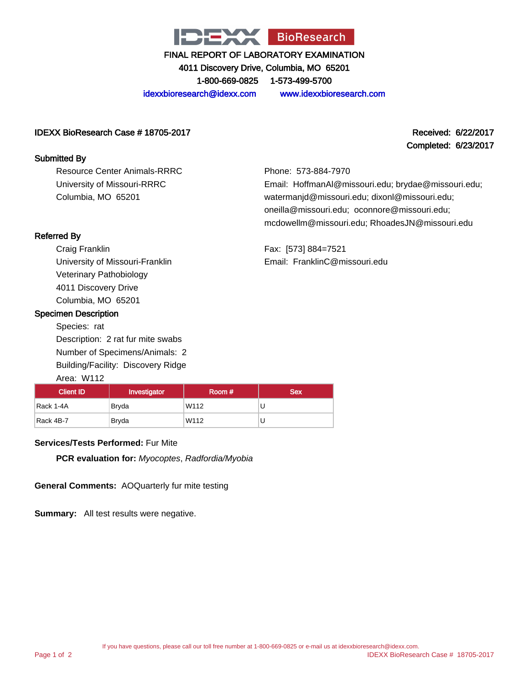

4011 Discovery Drive, Columbia, MO 65201 1-800-669-0825 1-573-499-5700

idexxbioresearch@idexx.com www.idexxbioresearch.com

### IDEXX BioResearch Case # 18705-2017 Received: 6/22/2017

#### Submitted By

Resource Center Animals-RRRC University of Missouri-RRRC Columbia, MO 65201

# Completed: 6/23/2017

Phone: 573-884-7970 Email: HoffmanAl@missouri.edu; brydae@missouri.edu; watermanjd@missouri.edu; dixonl@missouri.edu; oneilla@missouri.edu; oconnore@missouri.edu; mcdowellm@missouri.edu; RhoadesJN@missouri.edu

Fax: [573] 884=7521 Email: FranklinC@missouri.edu

### Referred By

Craig Franklin University of Missouri-Franklin Veterinary Pathobiology 4011 Discovery Drive Columbia, MO 65201

### Specimen Description

Species: rat Description: 2 rat fur mite swabs Number of Specimens/Animals: 2 Building/Facility: Discovery Ridge Area: W112

## Client ID | Investigator | Room # | Sex Rack 1-4A Bryda W112 U Rack 4B-7 **Bryda** W112 U

### **Services/Tests Performed:** Fur Mite

**PCR evaluation for:** Myocoptes, Radfordia/Myobia

**General Comments:** AOQuarterly fur mite testing

**Summary:** All test results were negative.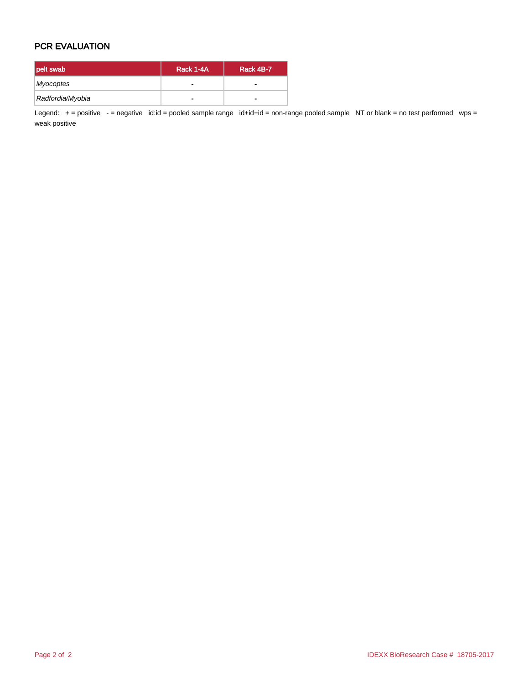### PCR EVALUATION

| pelt swab        | Rack 1-4A | Rack 4B-7                |  |
|------------------|-----------|--------------------------|--|
| Myocoptes        | -         |                          |  |
| Radfordia/Myobia | -         | $\overline{\phantom{0}}$ |  |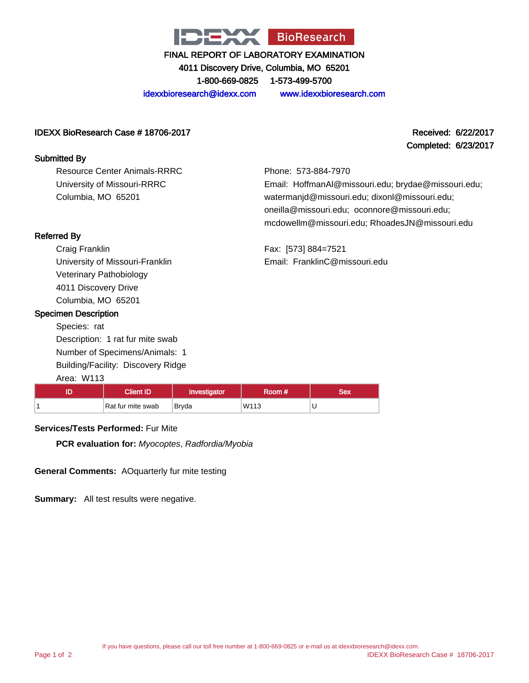

4011 Discovery Drive, Columbia, MO 65201 1-800-669-0825 1-573-499-5700

idexxbioresearch@idexx.com www.idexxbioresearch.com

### IDEXX BioResearch Case # 18706-2017 Received: 6/22/2017

### Submitted By

Resource Center Animals-RRRC University of Missouri-RRRC Columbia, MO 65201

Completed: 6/23/2017

Phone: 573-884-7970 Email: HoffmanAl@missouri.edu; brydae@missouri.edu; watermanjd@missouri.edu; dixonl@missouri.edu; oneilla@missouri.edu; oconnore@missouri.edu; mcdowellm@missouri.edu; RhoadesJN@missouri.edu

Fax: [573] 884=7521 Email: FranklinC@missouri.edu

Referred By Craig Franklin University of Missouri-Franklin

> Veterinary Pathobiology 4011 Discovery Drive Columbia, MO 65201

### Specimen Description

Species: rat Description: 1 rat fur mite swab Number of Specimens/Animals: 1 Building/Facility: Discovery Ridge Area: W113

## ID | Client ID | Investigator | Room # | Sex 1 Rat fur mite swab Bryda W113 U

### **Services/Tests Performed:** Fur Mite

**PCR evaluation for:** Myocoptes, Radfordia/Myobia

**General Comments:** AOquarterly fur mite testing

**Summary:** All test results were negative.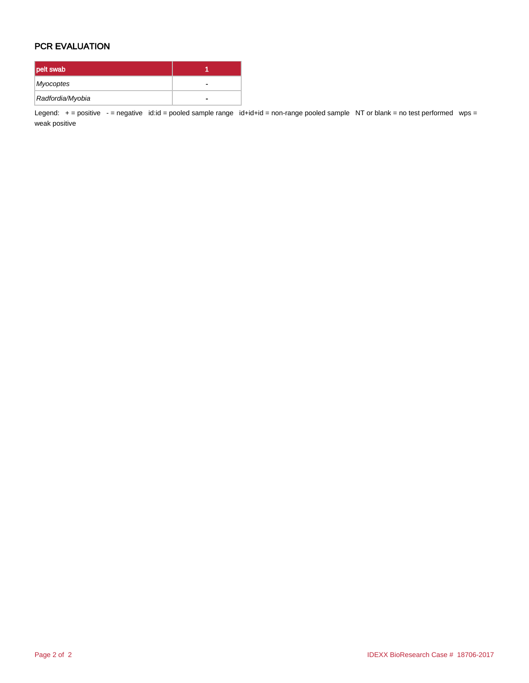### PCR EVALUATION

| pelt swab        |   |
|------------------|---|
| Myocoptes        |   |
| Radfordia/Myobia | - |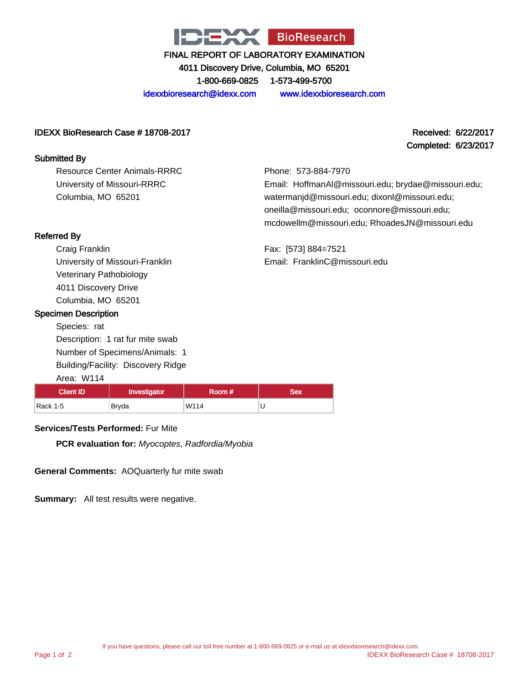

4011 Discovery Drive, Columbia, MO 65201 1-800-669-0825 1-573-499-5700

idexxbioresearch@idexx.com www.idexxbioresearch.com

### IDEXX BioResearch Case # 18708-2017 Received: 6/22/2017

### Submitted By

Resource Center Animals-RRRC University of Missouri-RRRC Columbia, MO 65201

# Completed: 6/23/2017

Phone: 573-884-7970 Email: HoffmanAl@missouri.edu; brydae@missouri.edu; watermanjd@missouri.edu; dixonl@missouri.edu; oneilla@missouri.edu; oconnore@missouri.edu; mcdowellm@missouri.edu; RhoadesJN@missouri.edu

Fax: [573] 884=7521 Email: FranklinC@missouri.edu

### Referred By

Craig Franklin University of Missouri-Franklin Veterinary Pathobiology 4011 Discovery Drive Columbia, MO 65201

### Specimen Description

Species: rat Description: 1 rat fur mite swab Number of Specimens/Animals: 1 Building/Facility: Discovery Ridge Area: W114

### Client ID | Investigator | Room # | Sex Rack 1-5 Bryda W114 U

### **Services/Tests Performed:** Fur Mite

**PCR evaluation for:** Myocoptes, Radfordia/Myobia

**General Comments:** AOQuarterly fur mite swab

**Summary:** All test results were negative.